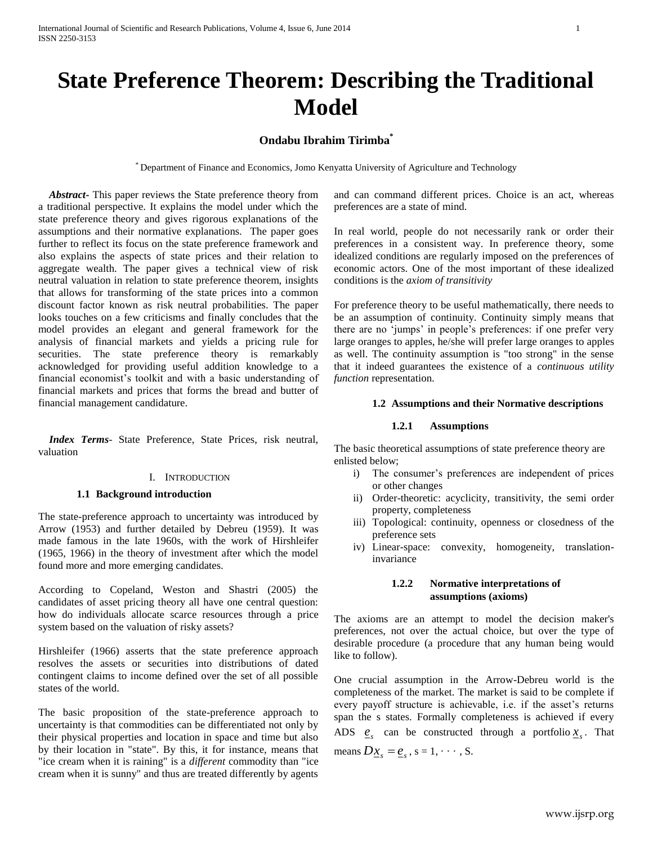# **State Preference Theorem: Describing the Traditional Model**

# **Ondabu Ibrahim Tirimba\***

\* Department of Finance and Economics, Jomo Kenyatta University of Agriculture and Technology

 *Abstract***-** This paper reviews the State preference theory from a traditional perspective. It explains the model under which the state preference theory and gives rigorous explanations of the assumptions and their normative explanations. The paper goes further to reflect its focus on the state preference framework and also explains the aspects of state prices and their relation to aggregate wealth. The paper gives a technical view of risk neutral valuation in relation to state preference theorem, insights that allows for transforming of the state prices into a common discount factor known as risk neutral probabilities. The paper looks touches on a few criticisms and finally concludes that the model provides an elegant and general framework for the analysis of financial markets and yields a pricing rule for securities. The state preference theory is remarkably acknowledged for providing useful addition knowledge to a financial economist's toolkit and with a basic understanding of financial markets and prices that forms the bread and butter of financial management candidature.

 *Index Terms*- State Preference, State Prices, risk neutral, valuation

# I. INTRODUCTION

## **1.1 Background introduction**

The state-preference approach to uncertainty was introduced by [Arrow](http://cruel.org/econthought/profiles/arrow.html) (1953) and further detailed by [Debreu](http://cruel.org/econthought/profiles/debreu.html) (1959). It was made famous in the late 1960s, with the work of [Hirshleifer](http://cruel.org/econthought/profiles/hirshleifer.html) (1965, 1966) in the theory of investment after which the model found more and more emerging candidates.

According to Copeland, Weston and Shastri (2005) the candidates of asset pricing theory all have one central question: how do individuals allocate scarce resources through a price system based on the valuation of risky assets?

Hirshleifer (1966) asserts that the state preference approach resolves the assets or securities into distributions of dated contingent claims to income defined over the set of all possible states of the world.

The basic proposition of the state-preference approach to uncertainty is that commodities can be differentiated not only by their physical properties and location in space and time but also by their location in "state". By this, it for instance, means that "ice cream when it is raining" is a *different* commodity than "ice cream when it is sunny" and thus are treated differently by agents

and can command different prices. Choice is an act, whereas preferences are a state of mind.

In real world, people do not necessarily rank or order their preferences in a consistent way. In preference theory, some idealized conditions are regularly imposed on the preferences of economic actors. One of the most important of these idealized conditions is the *axiom of transitivity*

For preference theory to be useful mathematically, there needs to be an assumption of continuity. Continuity simply means that there are no 'jumps' in people's preferences: if one prefer very large oranges to apples, he/she will prefer large oranges to apples as well. The continuity assumption is "too strong" in the sense that it indeed guarantees the existence of a *continuous utility function* representation.

## **1.2 Assumptions and their Normative descriptions**

# **1.2.1 Assumptions**

The basic theoretical assumptions of state preference theory are enlisted below;

- i) The consumer's preferences are independent of prices or other changes
- ii) Order-theoretic: acyclicity, transitivity, the semi order property, completeness
- iii) Topological: continuity, openness or closedness of the preference sets
- iv) Linear-space: [convexity,](http://en.wikipedia.org/wiki/Convex_preferences) homogeneity, translationinvariance

# **1.2.2 Normative interpretations of assumptions (axioms)**

The axioms are an attempt to model the decision maker's preferences, not over the actual choice, but over the type of desirable procedure (a procedure that any human being would like to follow).

One crucial assumption in the Arrow-Debreu world is the completeness of the market. The market is said to be complete if every payoff structure is achievable, i.e. if the asset's returns span the s states. Formally completeness is achieved if every ADS  $e_s$  can be constructed through a portfolio  $x_s$ . That means  $D\underline{x}_s = \underline{e}_s$ ,  $s = 1, \dots, S$ .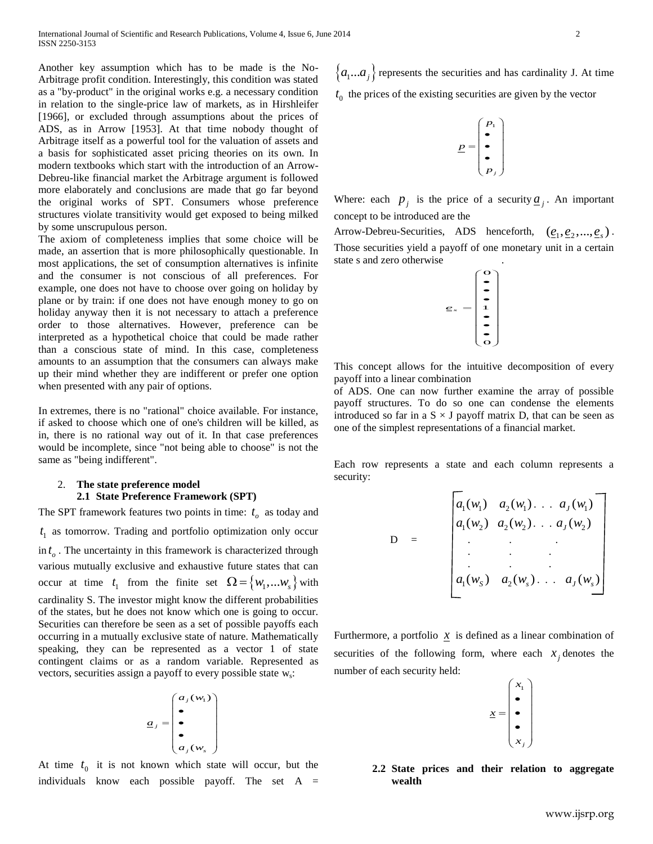Another key assumption which has to be made is the No-Arbitrage profit condition. Interestingly, this condition was stated as a "by-product" in the original works e.g. a necessary condition in relation to the single-price law of markets, as in Hirshleifer [1966], or excluded through assumptions about the prices of ADS, as in Arrow [1953]. At that time nobody thought of Arbitrage itself as a powerful tool for the valuation of assets and a basis for sophisticated asset pricing theories on its own. In modern textbooks which start with the introduction of an Arrow-Debreu-like financial market the Arbitrage argument is followed more elaborately and conclusions are made that go far beyond the original works of SPT. Consumers whose preference structures violate transitivity would get exposed to being milked by some unscrupulous person.

The axiom of completeness implies that some choice will be made, an assertion that is more philosophically questionable. In most applications, the set of consumption alternatives is infinite and the consumer is not conscious of all preferences. For example, one does not have to choose over going on holiday by plane or by train: if one does not have enough money to go on holiday anyway then it is not necessary to attach a preference order to those alternatives. However, preference can be interpreted as a hypothetical choice that could be made rather than a conscious state of mind. In this case, completeness amounts to an assumption that the consumers can always make up their mind whether they are indifferent or prefer one option when presented with any pair of options.

In extremes, there is no "rational" choice available. For instance, if asked to choose which one of one's children will be killed, as in, there is no rational way out of it. In that case preferences would be incomplete, since "not being able to choose" is not the same as "being indifferent".

# 2. **The state preference model 2.1 State Preference Framework (SPT)**

The SPT framework features two points in time:  $t_o$  as today and 1 *t* as tomorrow. Trading and portfolio optimization only occur in  $t_o$ . The uncertainty in this framework is characterized through various mutually exclusive and exhaustive future states that can occur at time  $t_1$  from the finite set  $\Omega = \{w_1, \dots w_s\}$  with cardinality S. The investor might know the different probabilities of the states, but he does not know which one is going to occur. Securities can therefore be seen as a set of possible payoffs each occurring in a mutually exclusive state of nature. Mathematically speaking, they can be represented as a vector 1 of state contingent claims or as a random variable. Represented as vectors, securities assign a payoff to every possible state w<sub>s</sub>: Another key assumption which has to be made is the FW-<br>
Another spectra ( $a_1...a_8$ <br>
and the original words be a necessary condition  $t_{\rm B}$  the small<br>
as a sing-point in the original words be a necessary condition  $t_{\rm B$ 

$$
\underline{a}_j = \begin{pmatrix} a_j(w_1) \\ \bullet \\ \bullet \\ \bullet \\ a_j(w_s) \end{pmatrix}
$$

At time  $t_0$  it is not known which state will occur, but the

 $\ldots a_j$  represents the securities and has cardinality J. At time  $t_0$  the prices of the existing securities are given by the vector

$$
\underline{p} = \begin{pmatrix} p_1 \\ \bullet \\ \bullet \\ \bullet \\ p_j \end{pmatrix}
$$

Where: each  $p_j$  is the price of a security  $q_j$ . An important concept to be introduced are the

Arrow-Debreu-Securities, ADS henceforth,  $(\underline{e}_1, \underline{e}_2, ..., \underline{e}_s)$ . Those securities yield a payoff of one monetary unit in a certain state s and zero otherwise .

$$
e_s = \begin{pmatrix} 0 \\ 0 \\ 1 \\ 1 \\ 0 \end{pmatrix}
$$

This concept allows for the intuitive decomposition of every payoff into a linear combination

of ADS. One can now further examine the array of possible payoff structures. To do so one can condense the elements introduced so far in a  $S \times J$  payoff matrix D, that can be seen as one of the simplest representations of a financial market.

Each row represents a state and each column represents a security:

D = 
$$
\begin{bmatrix} a_1(w_1) & a_2(w_1) & \cdots & a_J(w_1) \\ a_1(w_2) & a_2(w_2) & \cdots & a_J(w_2) \\ \vdots & \vdots & \ddots & \vdots \\ a_1(w_5) & a_2(w_5) & \cdots & a_J(w_s) \end{bmatrix}
$$

Furthermore, a portfolio  $\bar{x}$  is defined as a linear combination of securities of the following form, where each  $x_j$  denotes the number of each security held:

$$
\underline{x} = \begin{pmatrix} x_1 \\ \bullet \\ \bullet \\ \bullet \\ x_j \end{pmatrix}
$$

**2.2 State prices and their relation to aggregate wealth**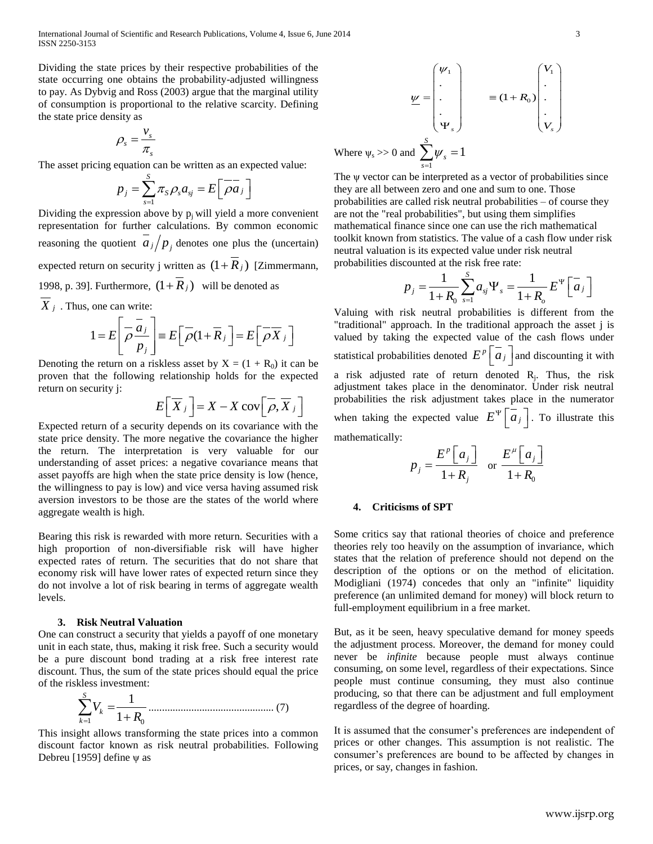International Journal of Scientific and Research Publications, Volume 4, Issue 6, June 2014 3 ISSN 2250-3153

Dividing the state prices by their respective probabilities of the state occurring one obtains the probability-adjusted willingness to pay. As Dybvig and Ross (2003) argue that the marginal utility of consumption is proportional to the relative scarcity. Defining the state price density as

$$
\rho_s = \frac{v_s}{\pi_s}
$$

The asset pricing equation can be written as an expected value:

$$
p_j = \sum_{s=1}^S \pi_s \rho_s a_{sj} = E\left[\overline{\rho a_j}\right]
$$

Dividing the expression above by  $p_i$  will yield a more convenient representation for further calculations. By common economic reasoning the quotient  $a_j/p_j$  denotes one plus the (uncertain) expected return on security j written as  $(1 + R_j)$  [Zimmermann, 1998, p. 39]. Furthermore,  $(1 + R_j)$  will be denoted as

X<sub>j</sub> . Thus, one can write:  
\n
$$
1 = E\left[\overline{\rho} \frac{\overline{a}_j}{p_j}\right] \equiv E\left[\overline{\rho} (1 + \overline{R}_j) \right] = E\left[\overline{\rho} \overline{X}_j\right]
$$

Denoting the return on a riskless asset by  $X = (1 + R_0)$  it can be proven that the following relationship holds for the expected return on security j:

$$
E\left[\overline{X}_{j}\right] = X - X \text{ cov}\left[\overline{\rho}, \overline{X}_{j}\right]
$$

Expected return of a security depends on its covariance with the state price density. The more negative the covariance the higher the return. The interpretation is very valuable for our understanding of asset prices: a negative covariance means that asset payoffs are high when the state price density is low (hence, the willingness to pay is low) and vice versa having assumed risk aversion investors to be those are the states of the world where aggregate wealth is high.

Bearing this risk is rewarded with more return. Securities with a high proportion of non-diversifiable risk will have higher expected rates of return. The securities that do not share that economy risk will have lower rates of expected return since they do not involve a lot of risk bearing in terms of aggregate wealth levels.

# **3. Risk Neutral Valuation**

One can construct a security that yields a payoff of one monetary unit in each state, thus, making it risk free. Such a security would be a pure discount bond trading at a risk free interest rate discount. Thus, the sum of the state prices should equal the price of the riskless investment:

1 0 1 1 *S k k V R* ............................................... (7)

This insight allows transforming the state prices into a common discount factor known as risk neutral probabilities. Following Debreu [1959] define  $\psi$  as

$$
\underline{\psi} = \begin{pmatrix} \psi_1 \\ \vdots \\ \vdots \\ \psi_s \end{pmatrix} \qquad \equiv (1 + R_0) \begin{pmatrix} V_1 \\ \vdots \\ \vdots \\ V_s \end{pmatrix}
$$
  
Where  $\psi_s > 0$  and  $\sum^S \psi_s = 1$ 

1 *s*

The ψ vector can be interpreted as a vector of probabilities since they are all between zero and one and sum to one. Those probabilities are called risk neutral probabilities – of course they are not the "real probabilities", but using them simplifies mathematical finance since one can use the rich mathematical toolkit known from statistics. The value of a cash flow under risk neutral valuation is its expected value under risk neutral probabilities discounted at the risk free rate:<br>  $p = \frac{1}{\sum_{i=1}^{S} q_i} \Psi_i = \frac{1}{\sum_{i=1}^{S} q_i}$ 

counted at the risk tree rate:  

$$
p_j = \frac{1}{1+R_0} \sum_{s=1}^{S} a_{sj} \Psi_s = \frac{1}{1+R_0} E^{\Psi} \left[ \overline{a}_j \right]
$$

Valuing with risk neutral probabilities is different from the "traditional" approach. In the traditional approach the asset j is valued by taking the expected value of the cash flows under statistical probabilities denoted  $E^p\left[\overline{a_j}\right]$  and discounting it with a risk adjusted rate of return denoted  $R_j$ . Thus, the risk adjustment takes place in the denominator. Under risk neutral probabilities the risk adjustment takes place in the numerator when taking the expected value  $E^{\Psi} \left[ \overline{a}_j \right]$ . To illustrate this mathematically:

$$
p_j = \frac{E^p \left[ a_j \right]}{1 + R_j} \quad \text{or} \quad \frac{E^\mu \left[ a_j \right]}{1 + R_0}
$$

## **4. Criticisms of SPT**

Some critics say that rational theories of choice and preference theories rely too heavily on the assumption of invariance, which states that the relation of preference should not depend on the description of the options or on the method of elicitation. Modigliani (1974) concedes that only an "infinite" liquidity preference (an unlimited demand for money) will block return to full-employment equilibrium in a free market.

But, as it be seen, heavy speculative demand for money speeds the adjustment process. Moreover, the demand for money could never be *infinite* because people must always continue consuming, on some level, regardless of their expectations. Since people must continue consuming, they must also continue producing, so that there can be adjustment and full employment regardless of the degree of hoarding.

It is assumed that the consumer's preferences are independent of prices or other changes. This assumption is not realistic. The consumer's preferences are bound to be affected by changes in prices, or say, changes in fashion.